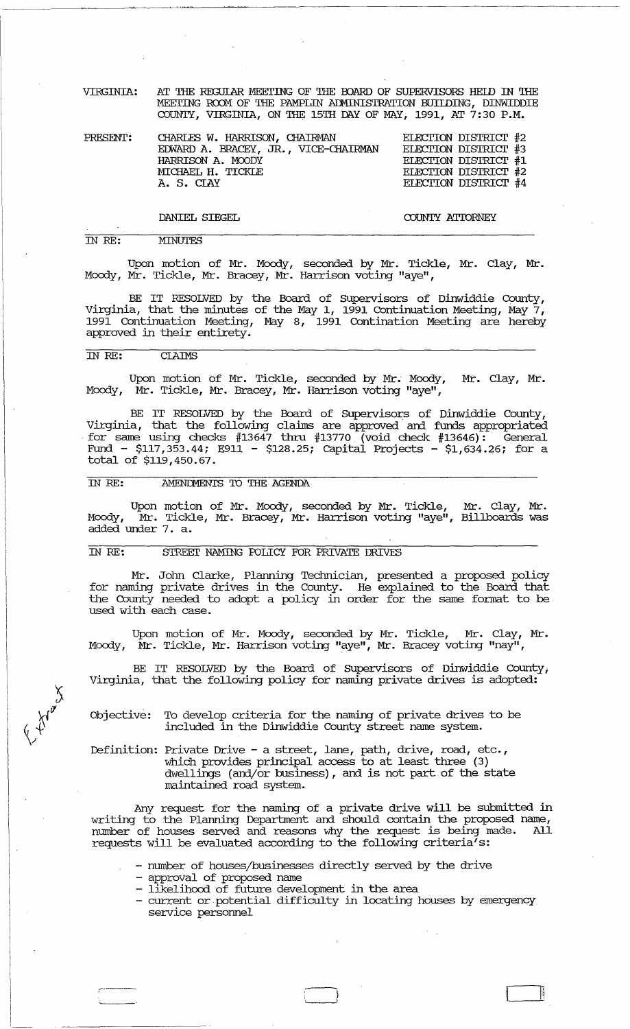VIRGINIA: AT THE REGUIAR MEETING OF THE BOARD OF SUPERVISORS HELD IN THE MEETING ROOM OF THE PAMPLIN ADMINISTRATION BUIIDING, DINWIDDIE COUNTY, VIRGINIA, ON THE 15TH DAY OF MAY, 1991, AT 7:30 P.M.

| CHARLES W. HARRISON, CHAIRMAN        | ELECTION DISTRICT #2 |  |
|--------------------------------------|----------------------|--|
| EDWARD A. BRACEY, JR., VICE-CHAIRMAN | ELECTION DISTRICT #3 |  |
| HARRISON A. MOODY                    | ELECTION DISTRICT #1 |  |
| MICHAEL H. TICKLE                    | ELECTION DISTRICT #2 |  |
| A. S. CLAY                           | ELECTION DISTRICT #4 |  |
|                                      |                      |  |

### DANIEL SIEGEL

COUNTY ATTORNEY

#### IN *RE:*  **MINUTES**

Upon motion of Mr. Moody, seconded by Mr. Tickle, Mr. Clay, Mr. Moody, Mr. Tickle, Mr. Bracey, Mr. Harrison voting "aye",

BE IT RESOLVED by the Board of supervisors of Dinwiddie County, Virginia, that the minutes of the May I, 1991 Continuation Meeting, May 7, 1991 Continuation Meeting, May 8, 1991 Contination Meeting are hereby approved in their entirety.

## IN *RE:* ClAIMS

Upon motion of Mr. Tickle, seconded by Mr. Moody, Mr. Clay, Mr. Moody, Mr. Tickle, Mr. Bracey, Mr. Harrison voting "aye",

BE IT RESOLVED by the Board of supervisors of Dinwiddie County, Virginia, that the following claims are approved and funds appropriated for same using checks  $#13647$  thru  $#13770$  (void check  $#13646$ ): General Fund - \$117,353.44; E911 - \$128.25; Capital Projects -  $$1,634.26$ ; for a total of \$119,450.67.

### IN RE: AMENDMENTS TO THE AGENDA

Upon motion of Mr. Moody, seconded by Mr. Tickle, Mr. Clay, Mr. Moody, Mr. Tickle, Mr. Bracey, Mr. Harrison voting "aye", Billboards was Moody, Mr. Tickl<br>added under 7. a.

## IN *RE:* STREEI' NAMING FOLICY FOR PRIVATE DRIVES

Mr. John Clarke, Planning Technician, presented a proposed policy for naming private drives in the County. He explained to the Board that the County needed to adopt a policy in order for the same fonnat to be used with each case.

Upon motion of Mr. Moody, seconded by Mr. Tickle, Mr. Clay, Mr. Moody, Mr. Tickle, Mr. Harrison voting "aye", Mr. Bracey voting "nay",

BE IT RESOLVED by the Board of supervisors of Dinwiddie County; Virginia, that the following policy for naming private drives is adopted:

Objective: To develop criteria for the naming of private drives to be included in the Dinwiddie County street name system.

Definition: Private Drive - a street, lane, path, drive, road, etc., which provides principal access to at least three (3) dwellings (and/or business), and is not part of the state maintained road system.

Any request for the naming of a private drive will be submitted in writing to the Planning Deparbnent and should contain the proposed name, number of houses served and reasons why the request is being made. All requests will be evaluated according to the following criteria's:

- number of houses/businesses directly served by the drive

- approval of proposed name
- likelihood of future development in the area
- current or potential difficulty in locating houses by emergency service personnel

I~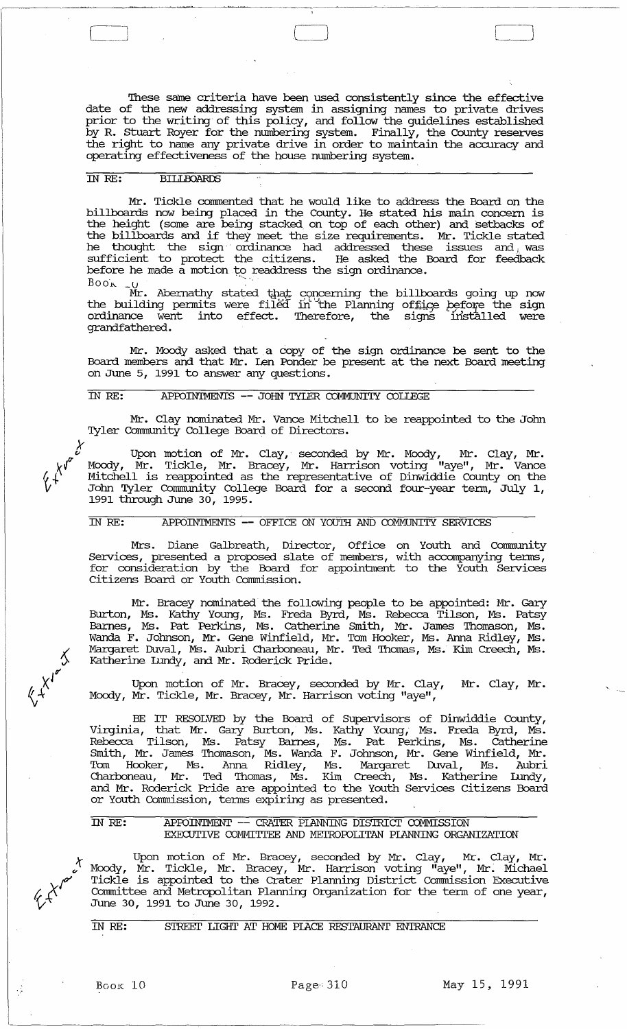These same criteria have been used consistently since the effective date of the new addressing system in assigning names to private drives<br>prior to the writing of this policy, and follow the guidelines established<br>by R. Stuart Royer for the numbering system. Finally, the County reserves<br>th operating effectiveness of the house numbering system.

#### IN RE: **BILLBOARDS**

Mr. Tickle commented that he would like to address the Board on the<br>billboards now being placed in the County. He stated his main concern is<br>the height (some are being stacked on top of each other) and setbacks of the billboards and if they meet the size requirements. Mr. Tickle stated<br>he thought the sign ordinance had addressed these issues and was<br>sufficient to protect the citizens. He asked the Board for feedback before he made a motion to readdress the sign ordinance.

 $\frac{Bo \Delta t}{M r}$ . Abernathy stated that concerning the billboards going up now the building permits were filed in the Planning office before the sign ordinance went into effect. Therefore, the signs installed were grandfathered.

Mr. Moody asked that a copy of the sign ordinance be sent to the Board members and that Mr. Ien Ponder be present at the next Board meeting on June 5, 1991 to answer any questions.

### IN RE: APPOINTMENTS -- JOHN TYLER COMMUNITY COLLEGE

Mr. Clay nominated Mr. Vance Mitchell to be reappointed to the John Tyler Community College Board of Directors.

Upon motion of Mr. Clay, seconded by Mr. Moody, Mr. Clay, Mr.<br>Moody, Mr. Tickle, Mr. Bracey, Mr. Harrison voting "aye", Mr. Vance<br>Mitchell is reappointed as the representative of Dinwiddie County on the John Tyler Community College Board for a second four-year term, July 1,<br>1991 through June 30, 1995.

#### $\overline{IMRE:}$ APPOINTMENTS -- OFFICE ON YOUTH AND COMMUNITY SERVICES

Mrs. Diane Galbreath, Director, Office on Youth and Community<br>Services, presented a proposed slate of members, with accompanying terms,<br>for consideration by the Board for appointment to the Youth Services<br>Citizens Board or

Mr. Bracey nominated the following people to be appointed: Mr. Gary Burton, Ms. Kathy Young, Ms. Freda Byrd, Ms. Rebecca Tilson, Ms. Patsy<br>Barnes, Ms. Pat Perkins, Ms. Catherine Smith, Mr. James Thomason, Ms.<br>Wanda F. Johnson, Mr. Gene Winfield, Mr. Tom Hooker, Ms. Anna Ridley, Ms.<br>Margare Katherine Lundy, and Mr. Roderick Pride.

Upon motion of Mr. Bracey, seconded by Mr. Clay, Mr. Clay, Mr. Moody, Mr. Tickle, Mr. Bracey, Mr. Harrison voting "aye",

BE IT RESOLVED by the Board of Supervisors of Dinwiddie County,<br>Virginia, that Mr. Gary Burton, Ms. Kathy Young, Ms. Freda Byrd, Ms.<br>Rebecca Tilson, Ms. Patsy Barnes, Ms. Pat Perkins, Ms. Catherine<br>Smith, Mr. James Thomaso

APPOINTMENT -- CRATER PLANNING DISTRICT COMMISSION IN RE: EXECUTIVE COMMITTEE AND METROPOLITAN PLANNING ORGANIZATION

Upon motion of Mr. Bracey, seconded by Mr. Clay, Mr. Clay, Mr.<br>Moody, Mr. Tickle, Mr. Bracey, Mr. Harrison voting "aye", Mr. Michael<br>Tickle is appointed to the Crater Planning District Commission Executive Committee and Metropolitan Planning Organization for the term of one year, June 30, 1991 to June 30, 1992.

STREET LIGHT AT HOME PLACE RESTAURANT ENTRANCE IN RE:

Book 10

 $\frac{1}{2}$ 

May 15, 1991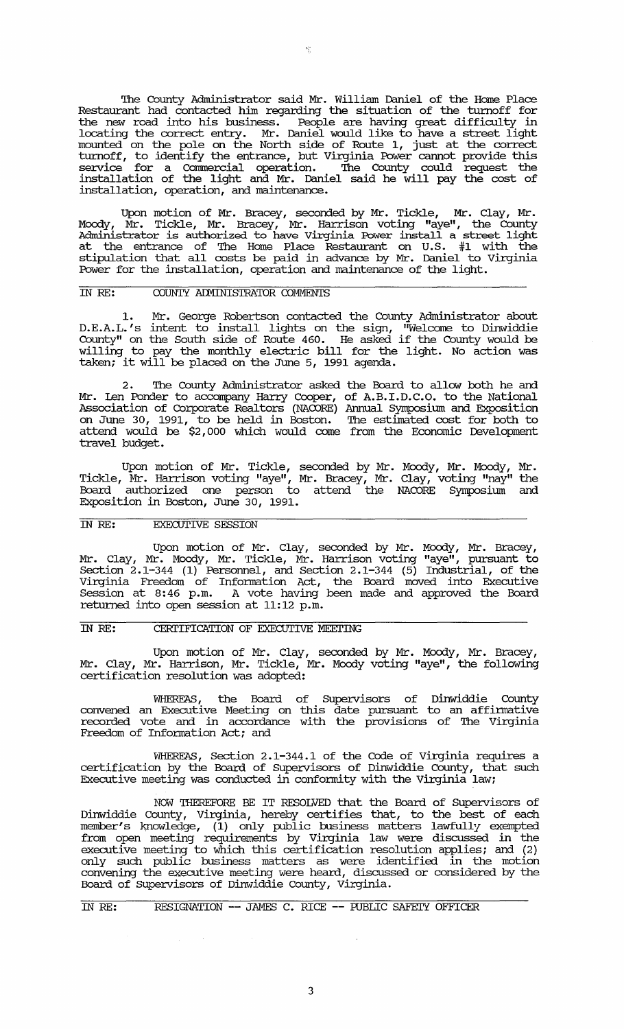'Ihe County Administrator said Mr. William Daniel of the Home Place Restaurant had contacted him regarding the situation of the turnoff for the new road into his business. People are having great difficulty in locating the correct entry. Mr. Daniel would like to have a street light mounted on the pole on the North side of Route 1, just at the correct turnoff, to identify the entrance, but Virginia Power cannot provide this service for a Commercial operation. 'Ihe County could request the installation of the light and Mr. Daniel said he will pay the cost of installation, operation, and maintenance.

Upon motion of Mr. Bracey, seconded by Mr. Tickle, Mr. Clay, Mr. Moody, Mr. Tickle, Mr. Bracey, Mr. Harrison voting "aye", the County Administrator is authorized to have Virginia Power install a street light at the entrance of 'Ihe Home Place Restaurant on U.S. #1 with the stipulation that all costs be paid in advance by Mr. Daniel to Virginia Power for the installation, operation and maintenance of the light.

### IN RE: COUNTY ADMINISTRATOR COMMENTS

1. Mr. George Robertson contacted the County Administrator about D.E.A.L.'s intent to install lights on the sign, "Welcome to Dinwiddie County" on the South side of Route 460. He asked if the County would be willing to pay the monthly electric bill for the light. No action was taken; it will be placed on the June 5, 1991 agenda.

2. 'Ihe County Administrator asked the Board to allow both he and Mr. Len Ponder to accompany Hany Cooper, of A.B.LD.C.O. to the National Association of Co:rporate Realtors (NACORE) Annual Symposium and Exposition on June 30, 1991, to be held in Boston. 'Ihe estimated cost for both to attend would be \$2,000 which would come from the Economic Development travel budget.

Upon motion of Mr. Tickle, seconded by Mr. Moody, Mr. Moody, Mr • Tickle, Mr. Harrison voting "aye", Mr. Bracey, Mr. Clay, voting "nay" the Board authorized one person to attend the NACORE Symposium and Exposition in Boston, June 30, 1991.

### IN *RE:* EXECUTIVE SESSION

Upon motion of Mr. Clay, seconded by Mr. Moody, Mr. Bracey, Mr. Clay, Mr. Moody, Mr. Tickle, Mr. Harrison voting "aye", pursuant to Section  $2.1-344$  (1) Personnel, and Section 2.1-344 (5) Industrial, of the Virginia Freedom of Infonnation Act, the Board moved into Executive Session at 8:46 p.m. A vote having been made and approved the Board returned into open session at 11:12 p.m.

### IN RE: CERTIFICATION OF EXECUTIVE MEETING

 $\sim$ 

Upon motion of Mr. Clay, seconded by Mr. Moody, Mr. Bracey, Mr. Clay, Mr. Harrison, Mr. Tickle, Mr. Moody voting "aye", the following certification resolution was adopted:

WHEREAS, the Board of supervisors of Dinwiddie County convened an Executive Meeting on this date pursuant to an affinnative recorded vote and in accordance with the provisions of The Virginia Freedom of Information Act; and

WHEREAS, Section 2.1-344.1 of the Code of Virginia requires a certification by the Board of supervisors of Dinwiddie County, that such Executive meeting was conducted in conformity with the Virginia law;

NOW THEREFORE BE IT RESOLVED that the Board of Supervisors of Dinwiddie County, Virginia, hereby certifies that, to the best of each member's knowledge, (1) only public business matters lawfully exempted from open meeting requirements by Virginia law were discussed in the executive meeting to which this certification resolution applies; and (2) only such public business matters as were identified in the motion convening the executive meeting were heard, discussed or considered by the Board of Supervisors of Dinwiddie County, Virginia.

IN *RE:* RESIGNATION -- JAMES C. RICE -- ruBLIC SAFEI'Y OFFICER

 $\mathcal{F}_{\hat{\xi}_1}$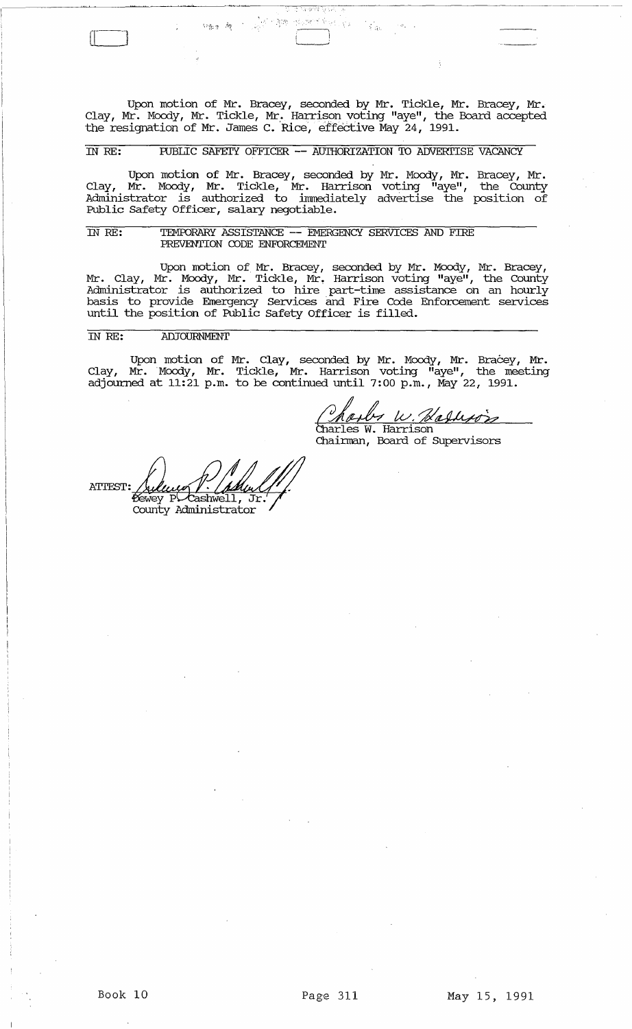Upon motion of Mr. Bracey, seconded by Mr. Tickle, Mr. Bracey, Mr. Clay, Mr. Moody, Mr. Tickle, Mr. Harrison voting "aye", the Board accepted the resignation of Mr. James C. 'Rice, effective May 24, 1991.

 $\overbrace{ }$  $\overline{\bigcup}$  $\mathbf{i}$  is a set of  $\mathbf{i}$ 

988年 - 1977年

# IN RE: FUBLIC SAFEIY OFFICER -- AUTHORIZATION TO ADVERTISE VACANCY

Upon motion of Mr. Bracey, seconded by Mr. Moody, Mr. Bracey, Mr. Clay, Mr. Moody, Mr. Tickle, Mr. Harrison voting "aye", the County Administrator is authorized to immediately advertise the position of Public Safety Officer, salary negotiable.

### IN RE: TEMFDRARY ASSISTANCE -- EMERGENCY. SERVICES AND FIRE PREVENTION CDDE ENFORCEMENT

Upon motion of Mr. Bracey, seconded by Mr. Moody, Mr. Bracey, Mr. Clay, Mr. Moody, Mr. Tickle, Mr. Harrison voting "aye", the County Administrator is authorized to hire part-time assistance on an hourly basis to provide Emergency Services and Fire Code Enforcement services until the position of Public Safety Officer is filled.

## IN RE: ADJOURNMENT

Upon motion of Mr. Clay, seconded by Mr. Moody, Mr. Bracey, Mr. Clay, Mr. Moody, Mr. Tickle, Mr. Harrison voting "aye", the meeting adjourned at 11:21 p.m. to be continued until 7:00 p.m., May 22, 1991.

<u>( Maulus W. Maduusion)</u><br>Charles W. Harrison<br>Chairman, Board of Supervisors

**ATTEST:** Cashwell, Jr. Dewey P County Administrator